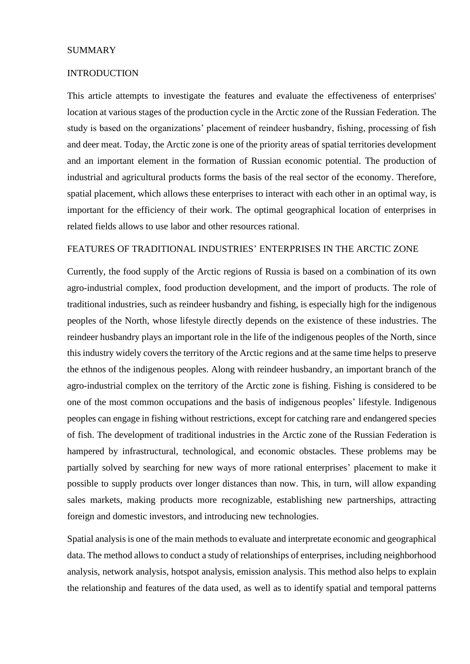## **SUMMARY**

#### **INTRODUCTION**

This article attempts to investigate the features and evaluate the effectiveness of enterprises' location at various stages of the production cycle in the Arctic zone of the Russian Federation. The study is based on the organizations' placement of reindeer husbandry, fishing, processing of fish and deer meat. Today, the Arctic zone is one of the priority areas of spatial territories development and an important element in the formation of Russian economic potential. The production of industrial and agricultural products forms the basis of the real sector of the economy. Therefore, spatial placement, which allows these enterprises to interact with each other in an optimal way, is important for the efficiency of their work. The optimal geographical location of enterprises in related fields allows to use labor and other resources rational.

### FEATURES OF TRADITIONAL INDUSTRIES' ENTERPRISES IN THE ARCTIC ZONE

Currently, the food supply of the Arctic regions of Russia is based on a combination of its own agro-industrial complex, food production development, and the import of products. The role of traditional industries, such as reindeer husbandry and fishing, is especially high for the indigenous peoples of the North, whose lifestyle directly depends on the existence of these industries. The reindeer husbandry plays an important role in the life of the indigenous peoples of the North, since this industry widely covers the territory of the Arctic regions and at the same time helps to preserve the ethnos of the indigenous peoples. Along with reindeer husbandry, an important branch of the agro-industrial complex on the territory of the Arctic zone is fishing. Fishing is considered to be one of the most common occupations and the basis of indigenous peoples' lifestyle. Indigenous peoples can engage in fishing without restrictions, except for catching rare and endangered species of fish. The development of traditional industries in the Arctic zone of the Russian Federation is hampered by infrastructural, technological, and economic obstacles. These problems may be partially solved by searching for new ways of more rational enterprises' placement to make it possible to supply products over longer distances than now. This, in turn, will allow expanding sales markets, making products more recognizable, establishing new partnerships, attracting foreign and domestic investors, and introducing new technologies.

Spatial analysis is one of the main methods to evaluate and interpretate economic and geographical data. The method allows to conduct a study of relationships of enterprises, including neighborhood analysis, network analysis, hotspot analysis, emission analysis. This method also helps to explain the relationship and features of the data used, as well as to identify spatial and temporal patterns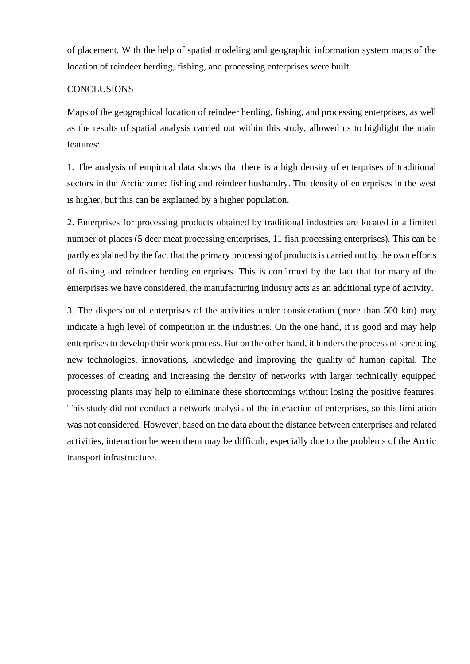of placement. With the help of spatial modeling and geographic information system maps of the location of reindeer herding, fishing, and processing enterprises were built.

## **CONCLUSIONS**

Maps of the geographical location of reindeer herding, fishing, and processing enterprises, as well as the results of spatial analysis carried out within this study, allowed us to highlight the main features:

1. The analysis of empirical data shows that there is a high density of enterprises of traditional sectors in the Arctic zone: fishing and reindeer husbandry. The density of enterprises in the west is higher, but this can be explained by a higher population.

2. Enterprises for processing products obtained by traditional industries are located in a limited number of places (5 deer meat processing enterprises, 11 fish processing enterprises). This can be partly explained by the fact that the primary processing of products is carried out by the own efforts of fishing and reindeer herding enterprises. This is confirmed by the fact that for many of the enterprises we have considered, the manufacturing industry acts as an additional type of activity.

3. The dispersion of enterprises of the activities under consideration (more than 500 km) may indicate a high level of competition in the industries. On the one hand, it is good and may help enterprises to develop their work process. But on the other hand, it hinders the process of spreading new technologies, innovations, knowledge and improving the quality of human capital. The processes of creating and increasing the density of networks with larger technically equipped processing plants may help to eliminate these shortcomings without losing the positive features. This study did not conduct a network analysis of the interaction of enterprises, so this limitation was not considered. However, based on the data about the distance between enterprises and related activities, interaction between them may be difficult, especially due to the problems of the Arctic transport infrastructure.